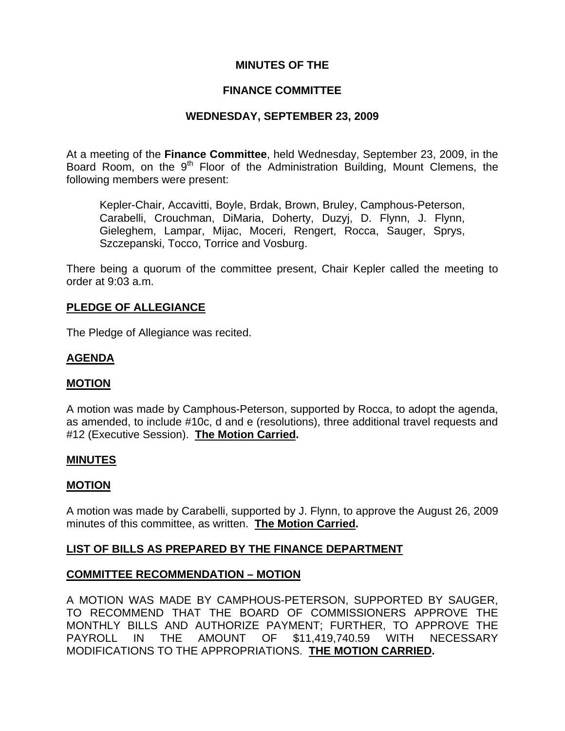# **MINUTES OF THE**

### **FINANCE COMMITTEE**

## **WEDNESDAY, SEPTEMBER 23, 2009**

At a meeting of the **Finance Committee**, held Wednesday, September 23, 2009, in the Board Room, on the  $9<sup>th</sup>$  Floor of the Administration Building, Mount Clemens, the following members were present:

Kepler-Chair, Accavitti, Boyle, Brdak, Brown, Bruley, Camphous-Peterson, Carabelli, Crouchman, DiMaria, Doherty, Duzyj, D. Flynn, J. Flynn, Gieleghem, Lampar, Mijac, Moceri, Rengert, Rocca, Sauger, Sprys, Szczepanski, Tocco, Torrice and Vosburg.

There being a quorum of the committee present, Chair Kepler called the meeting to order at 9:03 a.m.

# **PLEDGE OF ALLEGIANCE**

The Pledge of Allegiance was recited.

# **AGENDA**

## **MOTION**

A motion was made by Camphous-Peterson, supported by Rocca, to adopt the agenda, as amended, to include #10c, d and e (resolutions), three additional travel requests and #12 (Executive Session). **The Motion Carried.** 

## **MINUTES**

#### **MOTION**

A motion was made by Carabelli, supported by J. Flynn, to approve the August 26, 2009 minutes of this committee, as written. **The Motion Carried.** 

## **LIST OF BILLS AS PREPARED BY THE FINANCE DEPARTMENT**

## **COMMITTEE RECOMMENDATION – MOTION**

A MOTION WAS MADE BY CAMPHOUS-PETERSON, SUPPORTED BY SAUGER, TO RECOMMEND THAT THE BOARD OF COMMISSIONERS APPROVE THE MONTHLY BILLS AND AUTHORIZE PAYMENT; FURTHER, TO APPROVE THE PAYROLL IN THE AMOUNT OF \$11,419,740.59 WITH NECESSARY MODIFICATIONS TO THE APPROPRIATIONS. **THE MOTION CARRIED.**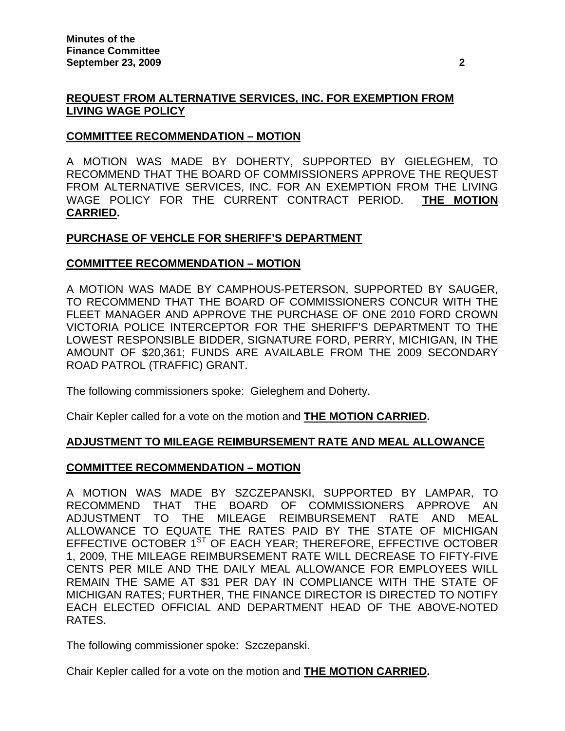# **REQUEST FROM ALTERNATIVE SERVICES, INC. FOR EXEMPTION FROM LIVING WAGE POLICY**

### **COMMITTEE RECOMMENDATION – MOTION**

A MOTION WAS MADE BY DOHERTY, SUPPORTED BY GIELEGHEM, TO RECOMMEND THAT THE BOARD OF COMMISSIONERS APPROVE THE REQUEST FROM ALTERNATIVE SERVICES, INC. FOR AN EXEMPTION FROM THE LIVING WAGE POLICY FOR THE CURRENT CONTRACT PERIOD. **THE MOTION CARRIED.** 

### **PURCHASE OF VEHCLE FOR SHERIFF'S DEPARTMENT**

### **COMMITTEE RECOMMENDATION – MOTION**

A MOTION WAS MADE BY CAMPHOUS-PETERSON, SUPPORTED BY SAUGER, TO RECOMMEND THAT THE BOARD OF COMMISSIONERS CONCUR WITH THE FLEET MANAGER AND APPROVE THE PURCHASE OF ONE 2010 FORD CROWN VICTORIA POLICE INTERCEPTOR FOR THE SHERIFF'S DEPARTMENT TO THE LOWEST RESPONSIBLE BIDDER, SIGNATURE FORD, PERRY, MICHIGAN, IN THE AMOUNT OF \$20,361; FUNDS ARE AVAILABLE FROM THE 2009 SECONDARY ROAD PATROL (TRAFFIC) GRANT.

The following commissioners spoke: Gieleghem and Doherty.

Chair Kepler called for a vote on the motion and **THE MOTION CARRIED.**

## **ADJUSTMENT TO MILEAGE REIMBURSEMENT RATE AND MEAL ALLOWANCE**

#### **COMMITTEE RECOMMENDATION – MOTION**

A MOTION WAS MADE BY SZCZEPANSKI, SUPPORTED BY LAMPAR, TO RECOMMEND THAT THE BOARD OF COMMISSIONERS APPROVE AN ADJUSTMENT TO THE MILEAGE REIMBURSEMENT RATE AND MEAL ALLOWANCE TO EQUATE THE RATES PAID BY THE STATE OF MICHIGAN EFFECTIVE OCTOBER 1<sup>ST</sup> OF EACH YEAR; THEREFORE, EFFECTIVE OCTOBER 1, 2009, THE MILEAGE REIMBURSEMENT RATE WILL DECREASE TO FIFTY-FIVE CENTS PER MILE AND THE DAILY MEAL ALLOWANCE FOR EMPLOYEES WILL REMAIN THE SAME AT \$31 PER DAY IN COMPLIANCE WITH THE STATE OF MICHIGAN RATES; FURTHER, THE FINANCE DIRECTOR IS DIRECTED TO NOTIFY EACH ELECTED OFFICIAL AND DEPARTMENT HEAD OF THE ABOVE-NOTED RATES.

The following commissioner spoke: Szczepanski.

Chair Kepler called for a vote on the motion and **THE MOTION CARRIED.**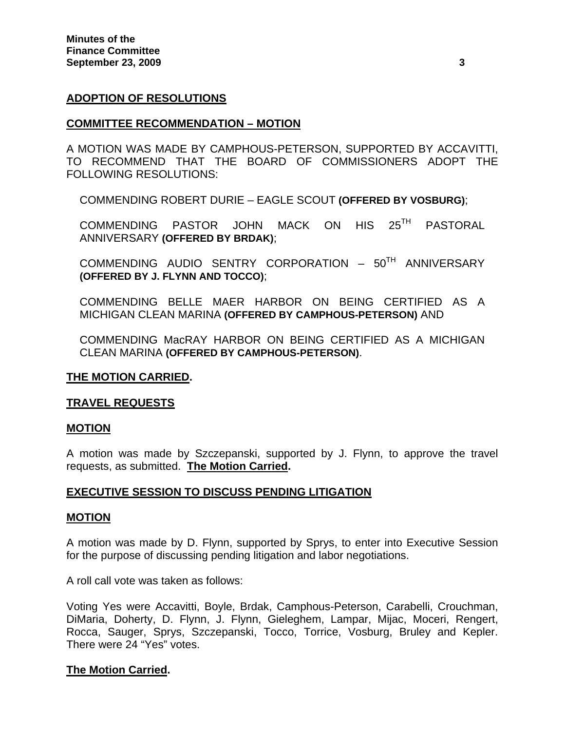### **ADOPTION OF RESOLUTIONS**

#### **COMMITTEE RECOMMENDATION – MOTION**

A MOTION WAS MADE BY CAMPHOUS-PETERSON, SUPPORTED BY ACCAVITTI, TO RECOMMEND THAT THE BOARD OF COMMISSIONERS ADOPT THE FOLLOWING RESOLUTIONS:

COMMENDING ROBERT DURIE – EAGLE SCOUT **(OFFERED BY VOSBURG)**;

COMMENDING PASTOR JOHN MACK ON HIS 25TH PASTORAL ANNIVERSARY **(OFFERED BY BRDAK)**;

COMMENDING AUDIO SENTRY CORPORATION -  $50^{TH}$  ANNIVERSARY **(OFFERED BY J. FLYNN AND TOCCO)**;

COMMENDING BELLE MAER HARBOR ON BEING CERTIFIED AS A MICHIGAN CLEAN MARINA **(OFFERED BY CAMPHOUS-PETERSON)** AND

COMMENDING MacRAY HARBOR ON BEING CERTIFIED AS A MICHIGAN CLEAN MARINA **(OFFERED BY CAMPHOUS-PETERSON)**.

#### **THE MOTION CARRIED.**

#### **TRAVEL REQUESTS**

#### **MOTION**

A motion was made by Szczepanski, supported by J. Flynn, to approve the travel requests, as submitted. **The Motion Carried.**

#### **EXECUTIVE SESSION TO DISCUSS PENDING LITIGATION**

#### **MOTION**

A motion was made by D. Flynn, supported by Sprys, to enter into Executive Session for the purpose of discussing pending litigation and labor negotiations.

A roll call vote was taken as follows:

Voting Yes were Accavitti, Boyle, Brdak, Camphous-Peterson, Carabelli, Crouchman, DiMaria, Doherty, D. Flynn, J. Flynn, Gieleghem, Lampar, Mijac, Moceri, Rengert, Rocca, Sauger, Sprys, Szczepanski, Tocco, Torrice, Vosburg, Bruley and Kepler. There were 24 "Yes" votes.

#### **The Motion Carried.**